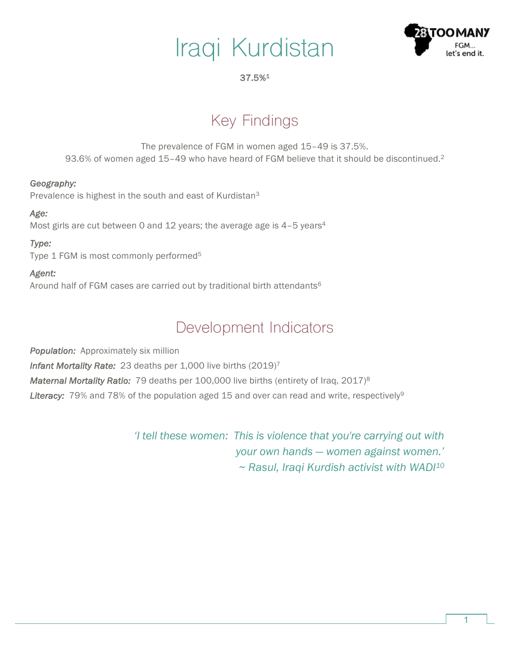# Iraqi Kurdistan



#### 37.5%1

# Key Findings

The prevalence of FGM in women aged 15–49 is 37.5%. 93.6% of women aged 15–49 who have heard of FGM believe that it should be discontinued.2

#### *Geography:*

Prevalence is highest in the south and east of Kurdistan<sup>3</sup>

#### *Age:*

Most girls are cut between 0 and 12 years; the average age is 4–5 years4

#### *Type:*

Type 1 FGM is most commonly performed<sup>5</sup>

#### *Agent:*

Around half of FGM cases are carried out by traditional birth attendants<sup>6</sup>

### Development Indicators

**Population:** Approximately six million *Infant Mortality Rate:* 23 deaths per 1,000 live births (2019)7 *Maternal Mortality Ratio:* 79 deaths per 100,000 live births (entirety of Iraq, 2017)<sup>8</sup> Literacy: 79% and 78% of the population aged 15 and over can read and write, respectively<sup>9</sup>

> *'I tell these women: This is violence that you're carrying out with your own hands — women against women.' ~ Rasul, Iraqi Kurdish activist with WADI10*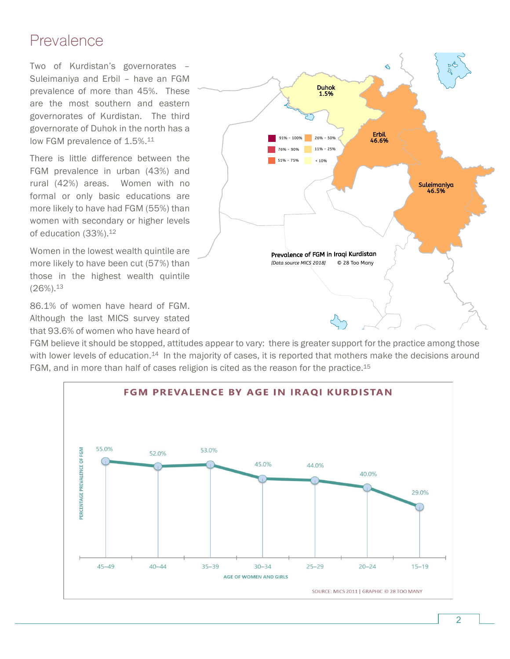### Prevalence

Two of Kurdistan's governorates – Suleimaniya and Erbil – have an FGM prevalence of more than 45%. These are the most southern and eastern governorates of Kurdistan. The third governorate of Duhok in the north has a low FGM prevalence of 1.5%.<sup>11</sup>

There is little difference between the FGM prevalence in urban (43%) and rural (42%) areas. Women with no formal or only basic educations are more likely to have had FGM (55%) than women with secondary or higher levels of education (33%).<sup>12</sup>

Women in the lowest wealth quintile are more likely to have been cut (57%) than those in the highest wealth quintile  $(26\%)$ <sup>13</sup>

86.1% of women have heard of FGM. Although the last MICS survey stated that 93.6% of women who have heard of



FGM believe it should be stopped, attitudes appear to vary: there is greater support for the practice among those with lower levels of education.<sup>14</sup> In the majority of cases, it is reported that mothers make the decisions around FGM, and in more than half of cases religion is cited as the reason for the practice.15

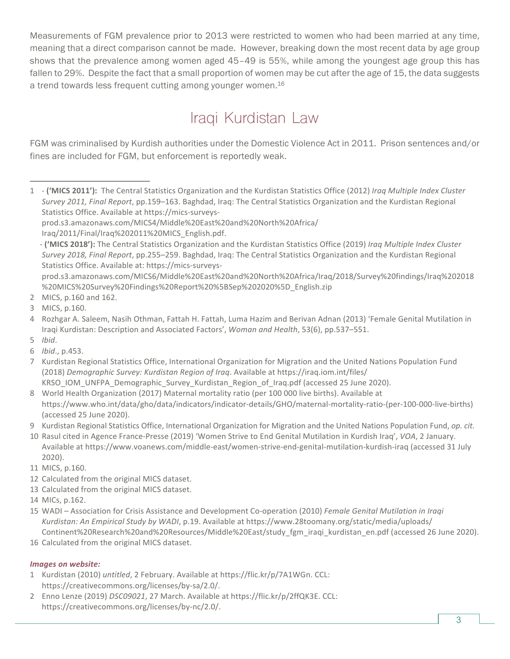Measurements of FGM prevalence prior to 2013 were restricted to women who had been married at any time, meaning that a direct comparison cannot be made. However, breaking down the most recent data by age group shows that the prevalence among women aged 45–49 is 55%, while among the youngest age group this has fallen to 29%. Despite the fact that a small proportion of women may be cut after the age of 15, the data suggests a trend towards less frequent cutting among younger women.<sup>16</sup>

# Iraqi Kurdistan Law

FGM was criminalised by Kurdish authorities under the Domestic Violence Act in 2011. Prison sentences and/or fines are included for FGM, but enforcement is reportedly weak.

prod.s3.amazonaws.com/MICS6/Middle%20East%20and%20North%20Africa/Iraq/2018/Survey%20findings/Iraq%202018 %20MICS%20Survey%20Findings%20Report%20%5BSep%202020%5D\_English.zip

16 Calculated from the original MICS dataset.

#### *Images on website:*

- 1 Kurdistan (2010) *untitled*, 2 February. Available at https://flic.kr/p/7A1WGn. CCL: https://creativecommons.org/licenses/by-sa/2.0/.
- 2 Enno Lenze (2019) *DSC09021*, 27 March. Available at https://flic.kr/p/2ffQK3E. CCL: https://creativecommons.org/licenses/by-nc/2.0/.

<sup>1 - (&#</sup>x27;MICS 2011'): The Central Statistics Organization and the Kurdistan Statistics Office (2012) *Iraq Multiple Index Cluster Survey 2011, Final Report, pp.159–163. Baghdad, Iraq: The Central Statistics Organization and the Kurdistan Regional* Statistics Office. Available at https://mics-surveys- $\overline{a}$ 

prod.s3.amazonaws.com/MICS4/Middle%20East%20and%20North%20Africa/

Iraq/2011/Final/Iraq%202011%20MICS\_English.pdf.

<sup>-</sup> **('MICS 2018'):** The Central Statistics Organization and the Kurdistan Statistics Office (2019) *Iraq Multiple Index Cluster Survey 2018, Final Report, pp.255–259. Baghdad, Iraq: The Central Statistics Organization and the Kurdistan Regional* Statistics Office. Available at: https://mics-surveys-

<sup>2</sup> MICS, p.160 and 162.

<sup>3</sup> MICS, p.160.

<sup>4</sup> Rozhgar A. Saleem, Nasih Othman, Fattah H. Fattah, Luma Hazim and Berivan Adnan (2013) 'Female Genital Mutilation in Iraqi Kurdistan: Description and Associated Factors', *Woman and Health*, 53(6), pp.537–551.

<sup>5</sup> *Ibid*.

<sup>6</sup> *Ibid*., p.453.

<sup>7</sup> Kurdistan Regional Statistics Office, International Organization for Migration and the United Nations Population Fund (2018) *Demographic Survey: Kurdistan Region of Iraq.* Available at https://iraq.iom.int/files/

KRSO\_IOM\_UNFPA\_Demographic\_Survey\_Kurdistan\_Region\_of\_Iraq.pdf (accessed 25 June 2020). 8 World Health Organization (2017) Maternal mortality ratio (per 100 000 live births). Available at https://www.who.int/data/gho/data/indicators/indicator-details/GHO/maternal-mortality-ratio-(per-100-000-live-births) 

<sup>(</sup>accessed 25 June 2020).

<sup>9</sup> Kurdistan Regional Statistics Office, International Organization for Migration and the United Nations Population Fund, op. cit.

<sup>10</sup> Rasul cited in Agence France-Presse (2019) 'Women Strive to End Genital Mutilation in Kurdish Iraq', *VOA*, 2 January. Available at https://www.voanews.com/middle-east/women-strive-end-genital-mutilation-kurdish-iraq (accessed 31 July 2020).

<sup>11</sup> MICS, p.160.

<sup>12</sup> Calculated from the original MICS dataset.

<sup>13</sup> Calculated from the original MICS dataset.

<sup>14</sup> MICs, p.162.

<sup>15</sup> WADI – Association for Crisis Assistance and Development Co-operation (2010) Female Genital Mutilation in Iraqi Kurdistan: An Empirical Study by WADI, p.19. Available at https://www.28toomany.org/static/media/uploads/ Continent%20Research%20and%20Resources/Middle%20East/study\_fgm\_iraqi\_kurdistan\_en.pdf (accessed 26 June 2020).